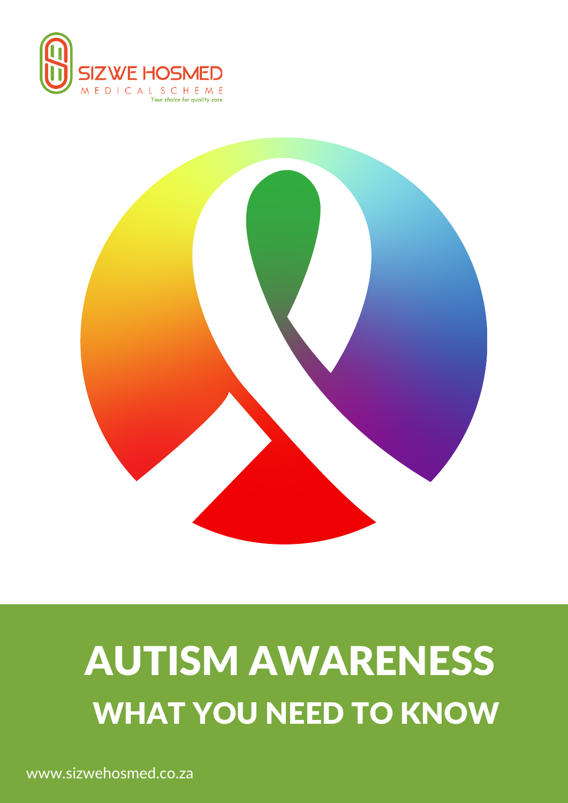



# AUTISM AWARENESS WHAT YOU NEED TO KNOW

www.sizwehosmed.co.za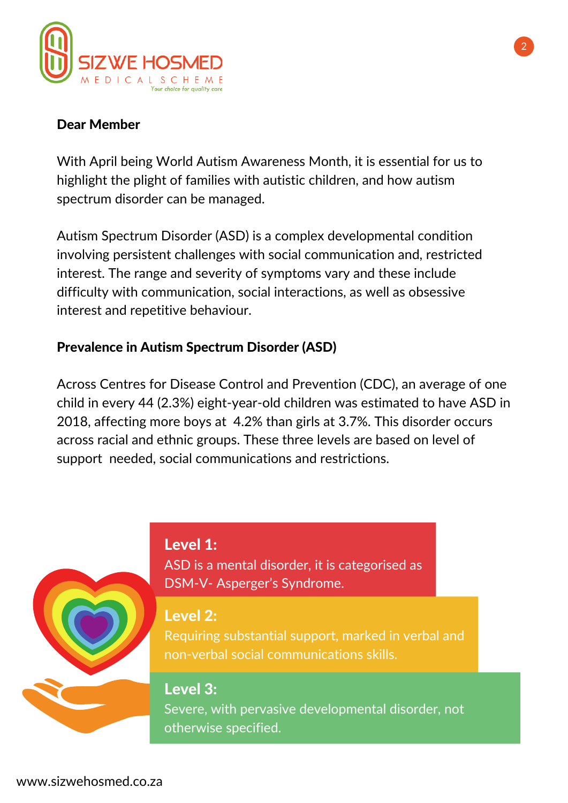

# Dear Member

With April being World Autism Awareness Month, it is essential for us to highlight the plight of families with autistic children, and how autism spectrum disorder can be managed.

Autism Spectrum Disorder (ASD) is a complex developmental condition involving persistent challenges with social communication and, restricted interest. The range and severity of symptoms vary and these include difficulty with communication, social interactions, as well as obsessive interest and repetitive behaviour.

## Prevalence in Autism Spectrum Disorder (ASD)

Across Centres for Disease Control and Prevention (CDC), an average of one child in every 44 (2.3%) eight-year-old children was estimated to have ASD in 2018, affecting more boys at 4.2% than girls at 3.7%. This disorder occurs across racial and ethnic groups. These three levels are based on level of support needed, social communications and restrictions.





ASD is a mental disorder, it is categorised as DSM-V- Asperger's Syndrome.

## Level 2:

Requiring substantial support, marked in verbal and non-verbal social communications skills.

# Level 3:

Severe, with pervasive developmental disorder, not otherwise specified.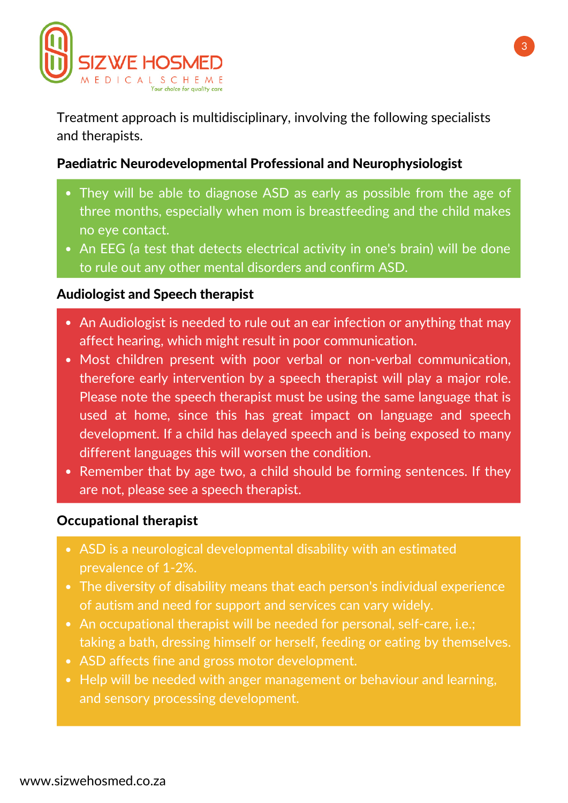

Treatment approach is multidisciplinary, involving the following specialists and therapists.

## Paediatric Neurodevelopmental Professional and Neurophysiologist

- They will be able to diagnose ASD as early as possible from the age of three months, especially when mom is breastfeeding and the child makes no eye contact.
- An EEG (a test that detects electrical activity in one's brain) will be done to rule out any other mental disorders and confirm ASD.

#### Audiologist and Speech therapist

- An Audiologist is needed to rule out an ear infection or anything that may affect hearing, which might result in poor communication.
- Most children present with poor verbal or non-verbal communication, therefore early intervention by a speech therapist will play a major role. Please note the speech therapist must be using the same language that is used at home, since this has great impact on language and speech development. If a child has delayed speech and is being exposed to many different languages this will worsen the condition.
- Remember that by age two, a child should be forming sentences. If they are not, please see a speech therapist.

#### Occupational therapist

- ASD is a neurological developmental disability with an estimated prevalence of 1-2%.
- The diversity of disability means that each person's individual experience of autism and need for support and services can vary widely.
- An occupational therapist will be needed for personal, self-care, i.e.; taking a bath, dressing himself or herself, feeding or eating by themselves.
- ASD affects fine and gross motor development.
- Help will be needed with anger management or behaviour and learning, and sensory processing development.

3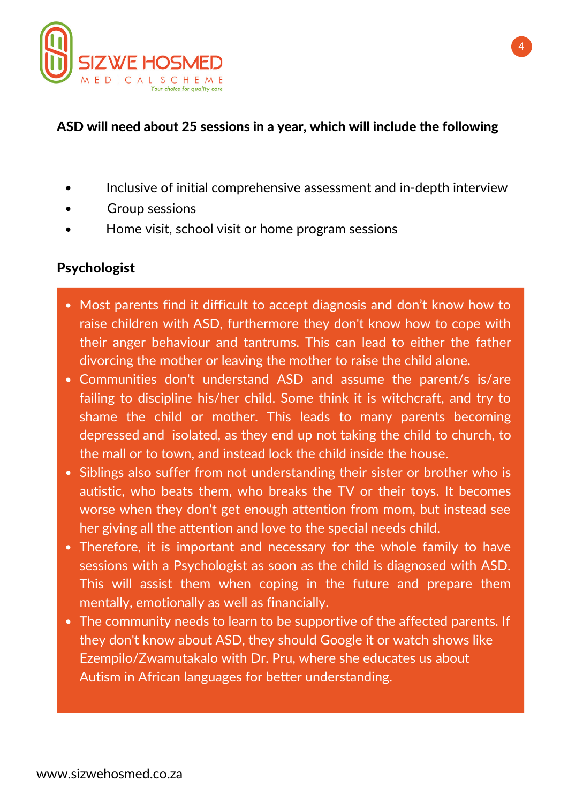

# ASD will need about 25 sessions in a year, which will include the following

- Inclusive of initial comprehensive assessment and in-depth interview
- Group sessions
- Home visit, school visit or home program sessions

## Psychologist

- Most parents find it difficult to accept diagnosis and don't know how to raise children with ASD, furthermore they don't know how to cope with their anger behaviour and tantrums. This can lead to either the father divorcing the mother or leaving the mother to raise the child alone.
- Communities don't understand ASD and assume the parent/s is/are failing to discipline his/her child. Some think it is witchcraft, and try to shame the child or mother. This leads to many parents becoming depressed and isolated, as they end up not taking the child to church, to the mall or to town, and instead lock the child inside the house.
- Siblings also suffer from not understanding their sister or brother who is autistic, who beats them, who breaks the TV or their toys. It becomes worse when they don't get enough attention from mom, but instead see her giving all the attention and love to the special needs child.
- Therefore, it is important and necessary for the whole family to have sessions with a Psychologist as soon as the child is diagnosed with ASD. This will assist them when coping in the future and prepare them mentally, emotionally as well as financially.
- The community needs to learn to be supportive of the affected parents. If they don't know about ASD, they should Google it or watch shows like Ezempilo/Zwamutakalo with Dr. Pru, where she educates us about Autism in African languages for better understanding.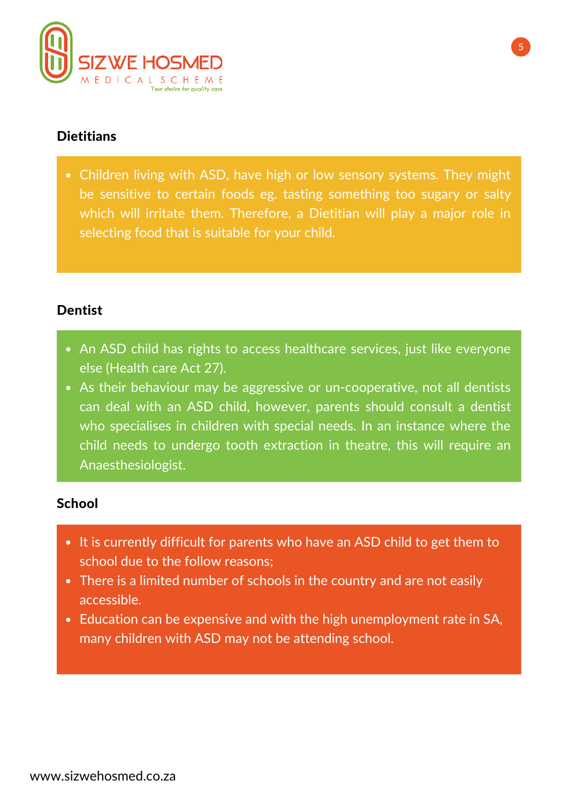

# **Dietitians**

Children living with ASD, have high or low sensory systems. They might be sensitive to certain foods eg. tasting something too sugary or salty which will irritate them. Therefore, a Dietitian will play a major role in selecting food that is suitable for your child.

## **Dentist**

- An ASD child has rights to access healthcare services, just like everyone else (Health care Act 27).
- As their behaviour may be aggressive or un-cooperative, not all dentists can deal with an ASD child, however, parents should consult a dentist who specialises in children with special needs. In an instance where the child needs to undergo tooth extraction in theatre, this will require an Anaesthesiologist.

## **School**

- It is currently difficult for parents who have an ASD child to get them to school due to the follow reasons;
- There is a limited number of schools in the country and are not easily accessible.
- Education can be expensive and with the high unemployment rate in SA, many children with ASD may not be attending school.